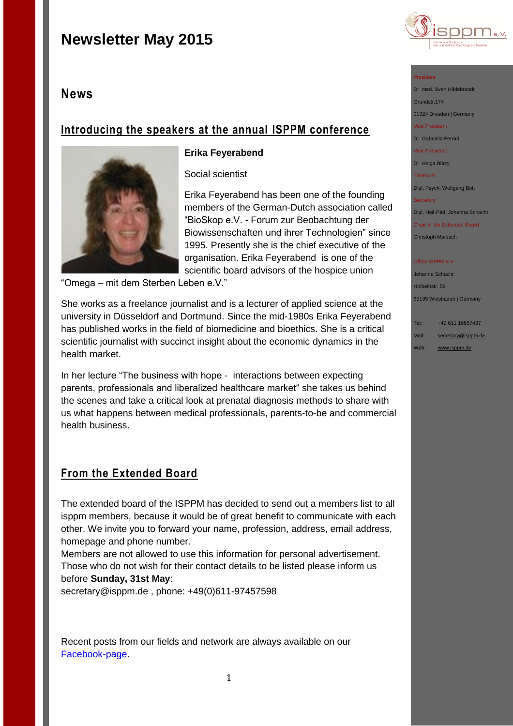## **News**

## **Introducing the speakers at the annual ISPPM conference**



### **Erika Feyerabend**

Social scientist

Erika Feyerabend has been one of the founding members of the German-Dutch association called "BioSkop e.V. - Forum zur Beobachtung der Biowissenschaften und ihrer Technologien" since 1995. Presently she is the chief executive of the organisation. Erika Feyerabend is one of the scientific board advisors of the hospice union

"Omega – mit dem Sterben Leben e.V."

She works as a freelance journalist and is a lecturer of applied science at the university in Düsseldorf and Dortmund. Since the mid-1980s Erika Feyerabend has published works in the field of biomedicine and bioethics. She is a critical scientific journalist with succinct insight about the economic dynamics in the health market.

In her lecture "The business with hope - interactions between expecting parents, professionals and liberalized healthcare market" she takes us behind the scenes and take a critical look at prenatal diagnosis methods to share with us what happens between medical professionals, parents-to-be and commercial health business.

## **From the Extended Board**

The extended board of the ISPPM has decided to send out a members list to all isppm members, because it would be of great benefit to communicate with each other. We invite you to forward your name, profession, address, email address, homepage and phone number.

Members are not allowed to use this information for personal advertisement. Those who do not wish for their contact details to be listed please inform us before **Sunday, 31st May**:

secretary@isppm.de , phone: +49(0)611-97457598

Recent posts from our fields and network are always available on our [Facebook-page.](https://www.facebook.com/pages/ISPPM-eV/124066644364106)



### President

Dr. med. Sven Hildebrandt Grundstr.174

01324 Dresden | Germany Vice President

Dr. Gabriella Ferrari

Vice President

Dr. Helga Blazy

Treasurer

Dipl. Psych. Wolfgang Bott

**Secretary** 

Dipl. Heil-Päd. Johanna Schacht

Chair of the Extended Board Christoph Maibach

#### Office ISPPM e.V

Johanna Schacht Holbeinstr. 56 65195 Wiesbaden | Germany

Tel: +49 611 16857437

Mail: [secretary@isppm.de](mailto:secretary@isppm.de) Web: [www.isppm.de](http://www.isppm.de/)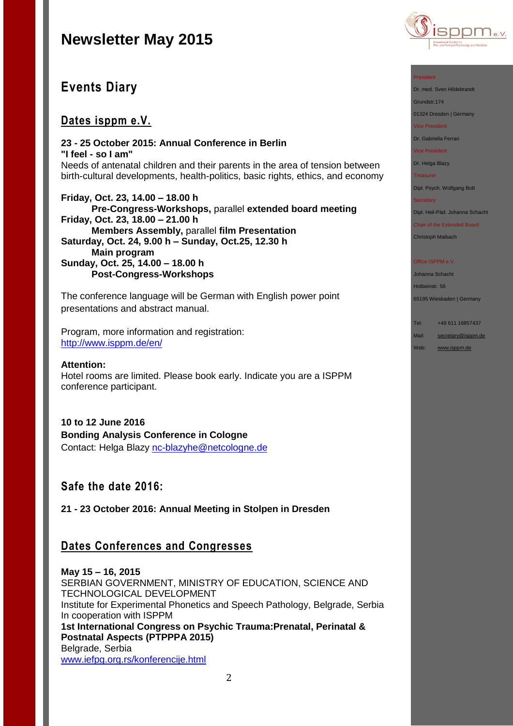

## **Events Diary**

## **Dates isppm e.V.**

**23 - 25 October 2015: Annual Conference in Berlin "I feel - so I am"** Needs of antenatal children and their parents in the area of tension between birth-cultural developments, health-politics, basic rights, ethics, and economy

**Friday, Oct. 23, 14.00 – 18.00 h Pre-Congress-Workshops,** parallel **extended board meeting Friday, Oct. 23, 18.00 – 21.00 h Members Assembly,** parallel **film Presentation Saturday, Oct. 24, 9.00 h – Sunday, Oct.25, 12.30 h Main program Sunday, Oct. 25, 14.00 – 18.00 h Post-Congress-Workshops**

The conference language will be German with English power point presentations and abstract manual.

Program, more information and registration: <http://www.isppm.de/en/>

### **Attention:**

Hotel rooms are limited. Please book early. Indicate you are a ISPPM conference participant.

**10 to 12 June 2016 Bonding Analysis Conference in Cologne** Contact: Helga Blazy [nc-blazyhe@netcologne.de](mailto:nc-blazyhe@netcologne.de)

## **Safe the date 2016:**

**21 - 23 October 2016: Annual Meeting in Stolpen in Dresden**

## **Dates Conferences and Congresses**

**May 15 – 16, 2015** SERBIAN GOVERNMENT, MINISTRY OF EDUCATION, SCIENCE AND TECHNOLOGICAL DEVELOPMENT Institute for Experimental Phonetics and Speech Pathology, Belgrade, Serbia In cooperation with ISPPM **1st International Congress on Psychic Trauma:Prenatal, Perinatal & Postnatal Aspects (PTPPPA 2015)** Belgrade, Serbia [www.iefpg.org.rs/konferencije.html](http://www.iefpg.org.rs/konferencije.html)

### President

Dr. med. Sven Hildebrandt

Grundstr.174

01324 Dresden | Germany

Vice President

Dr. Gabriella Ferrari

Vice President

Dr. Helga Blazy

Treasurer

Dipl. Psych. Wolfgang Bott

**Secretary** 

Dipl. Heil-Päd. Johanna Schacht

Chair of the Extended Board Christoph Maibach

#### Office ISPPM e.V

Johanna Schacht Holbeinstr. 56

65195 Wiesbaden | Germany

Tel: +49 611 16857437

- Mail: [secretary@isppm.de](mailto:secretary@isppm.de)
- Web: [www.isppm.de](http://www.isppm.de/)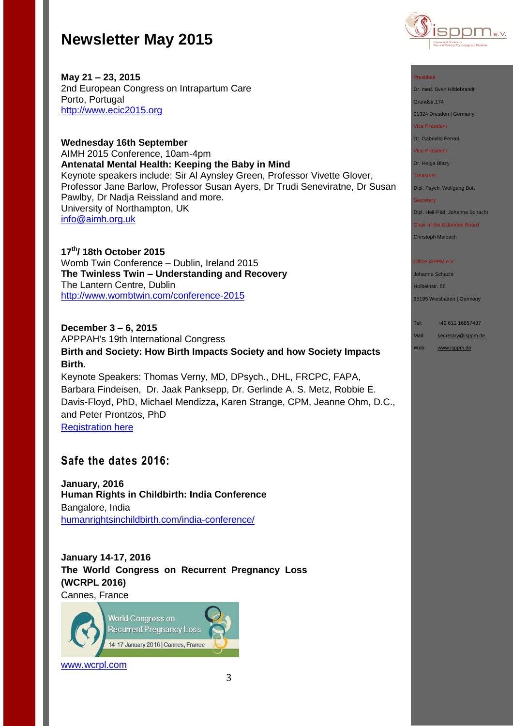

**May 21 – 23, 2015** 2nd European Congress on Intrapartum Care Porto, Portugal [http://www.ecic2015.org](http://www.ecic2015.org/)

**Wednesday 16th September** AIMH 2015 Conference, 10am-4pm **Antenatal Mental Health: Keeping the Baby in Mind** Keynote speakers include: Sir Al Aynsley Green, Professor Vivette Glover, Professor Jane Barlow, Professor Susan Ayers, Dr Trudi Seneviratne, Dr Susan Pawlby, Dr Nadja Reissland and more. University of Northampton, UK [info@aimh.org.uk](mailto:info@aimh.org.uk)

**17th/ 18th October 2015** Womb Twin Conference – Dublin, Ireland 2015 **The Twinless Twin – Understanding and Recovery**  The Lantern Centre, Dublin [http://www.wombtwin.com/conference-2015](http://www.wombtwin.com/conference-2015/4588428837?utm_source=Womb+Twin+newsletter&utm_campaign=f7c2af81ac-Newsletter+May+2015+2015&utm_medium=email&utm_term=0_189851c605-f7c2af81ac-421063393)

### **December 3 – 6, 2015**

APPPAH's 19th International Congress **Birth and Society: How Birth Impacts Society and how Society Impacts Birth.** Keynote Speakers: Thomas Verny, MD, DPsych., DHL, FRCPC, FAPA,

Barbara Findeisen, Dr. Jaak Panksepp, Dr. Gerlinde A. S. Metz, Robbie E. Davis-Floyd, PhD, Michael Mendizza**,** Karen Strange, CPM, Jeanne Ohm, D.C., and Peter Prontzos, PhD

[Registration here](http://r20.rs6.net/tn.jsp?f=001ow1wkvozei_88VPX53sV2VFa_ZuxEIVEKa01uLsN1mbdQzyyQdhs_FXedW1fhcbR0cAnBWKAa58XC3PwfiugTa1u-MPUS6Vonsz2fJNfQoB35pjIsF_7lD1CN_qw8TKu7v5JAd5plpwt_sJH1Yde9EazKKjwqyMJ21kbRBK73s3eVNH4L1EyhKr9FAjjkUSl1fgyAKzNeZsbRxoBWUe7j8en6Y0oQ_VI&c=LWshyrIfwgT0SZxQf9pomHGUyyn_Wvxtp2RWpyiRrhc-6I_2N51Iww==&ch=fzqAY8gzqrfAbvVlvh6O_uf6Y0uhLqpZVtR_fAmpQsLRiSXUV-TJkQ==)

## **Safe the dates 2016:**

**January, 2016 Human Rights in Childbirth: India Conference** Bangalore, India [humanrightsinchildbirth.com/india-conference/](http://humanrightsinchildbirth.com/india-conference/)

**January 14-17, 2016 The World Congress on Recurrent Pregnancy Loss (WCRPL 2016)**

Cannes, France



[www.wcrpl.com](http://www.wcrpl.com/)

### President

Dr. med. Sven Hildebrandt

Grundstr.174

01324 Dresden | Germany

Vice President

Dr. Gabriella Ferrari

Vice President

Dr. Helga Blazy

Treasurer

Dipl. Psych. Wolfgang Bott

#### **Secretary**

Dipl. Heil-Päd. Johanna Schacht

Chair of the Extended Board

Christoph Maibach

#### Office ISPPM e.V

Johanna Schacht Holbeinstr. 56

65195 Wiesbaden | Germany

Tel: +49 611 16857437

Mail: [secretary@isppm.de](mailto:secretary@isppm.de)

Web: [www.isppm.de](http://www.isppm.de/)

3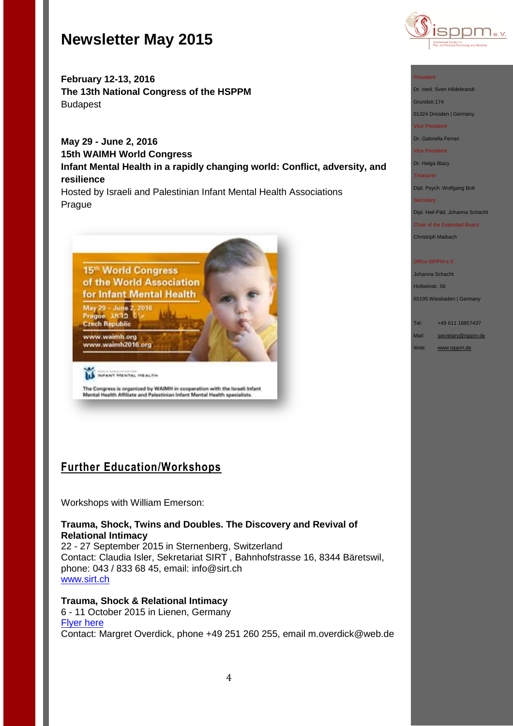

**February 12-13, 2016 The 13th National Congress of the HSPPM**  Budapest

**May 29 - June 2, 2016 15th WAIMH World Congress Infant Mental Health in a rapidly changing world: Conflict, adversity, and resilience**

Hosted by Israeli and Palestinian Infant Mental Health Associations Prague



The Congress is organized by WAIMH in cooperation with the Israeli Infant<br>Mental Health Affiliate and Palestinian Infant Mental Health specialists.

## **Further Education/Workshops**

Workshops with William Emerson:

**Trauma, Shock, Twins and Doubles. The Discovery and Revival of Relational Intimacy**

22 - 27 September 2015 in Sternenberg, Switzerland Contact: Claudia Isler, Sekretariat SIRT , Bahnhofstrasse 16, 8344 Bäretswil, phone: 043 / 833 68 45, email: [info@sirt.ch](mailto:info@sirt.ch) [www.sirt.ch](http://www.sirt.ch/)

**Trauma, Shock & Relational Intimacy**

6 - 11 October 2015 in Lienen, Germany [Flyer here](http://www.isppm.de/en/wp-content/uploads/2014/04/Emerson_Workshop_engl.pdf) Contact: Margret Overdick, phone +49 251 260 255, email [m.overdick@web.de](mailto:m.overdick@web.de)

#### President

Dr. med. Sven Hildebrandt

Grundstr.174

01324 Dresden | Germany

Vice President

Dr. Gabriella Ferrari

Vice President

Dr. Helga Blazy

**Treasurer** 

Dipl. Psych. Wolfgang Bott

#### **Secretary**

Dipl. Heil-Päd. Johanna Schacht

Chair of the Extended Board

Christoph Maibach

#### Office ISPPM e.V

Johanna Schacht Holbeinstr. 56

65195 Wiesbaden | Germany

Tel: +49 611 16857437

Mail: [secretary@isppm.de](mailto:secretary@isppm.de)

Web: [www.isppm.de](http://www.isppm.de/)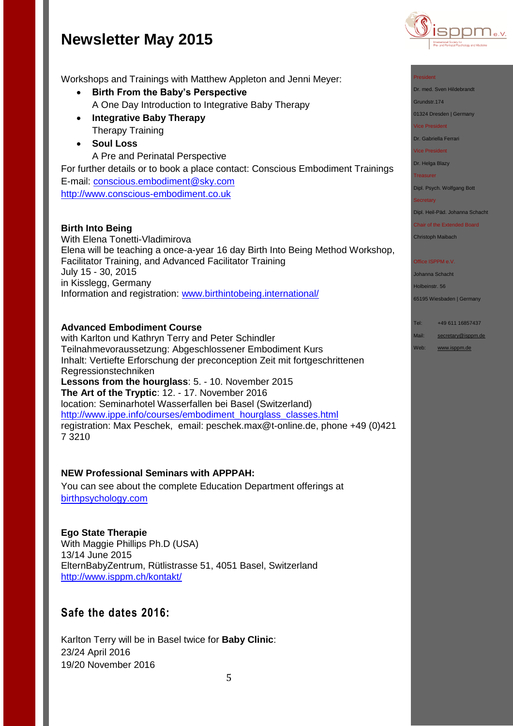

Workshops and Trainings with Matthew Appleton and Jenni Meyer:

- **Birth From the Baby's Perspective** A One Day Introduction to Integrative Baby Therapy
- **Integrative Baby Therapy** Therapy Training
- **Soul Loss**
	- A Pre and Perinatal Perspective

For further details or to book a place contact: Conscious Embodiment Trainings E-mail: [conscious.embodiment@sky.com](file:///C:/Users/hanna/Desktop/conscious.embodiment@sky.com) [http://www.conscious-embodiment.co.uk](http://www.conscious-embodiment.co.uk/)

### **Birth Into Being**

With Elena Tonetti-Vladimirova Elena will be teaching a once-a-year 16 day Birth Into Being Method Workshop, Facilitator Training, and Advanced Facilitator Training July 15 - 30, 2015 in Kisslegg, Germany Information and registration: [www.birthintobeing.international/](http://www.birthintobeing.international/)

### **Advanced Embodiment Course**

with Karlton und Kathryn Terry and Peter Schindler Teilnahmevoraussetzung: Abgeschlossener Embodiment Kurs Inhalt: Vertiefte Erforschung der preconception Zeit mit fortgeschrittenen Regressionstechniken **Lessons from the hourglass**: 5. - 10. November 2015 **The Art of the Tryptic**: 12. - 17. November 2016 location: Seminarhotel Wasserfallen bei Basel (Switzerland) [http://www.ippe.info/courses/embodiment\\_hourglass\\_classes.html](http://www.ippe.info/courses/embodiment_hourglass_classes.html)  registration: Max Peschek, email: [peschek.max@t-online.de,](mailto:peschek.max@t-online.de) phone +49 (0)421 7 3210

### **NEW Professional Seminars with APPPAH:**

You can see about the complete Education Department offerings at [birthpsychology.com](http://birthpsychology.com/)

### **Ego State Therapie**

With Maggie Phillips Ph.D (USA) 13/14 June 2015 ElternBabyZentrum, Rütlistrasse 51, 4051 Basel, Switzerland <http://www.isppm.ch/kontakt/>

## **Safe the dates 2016:**

Karlton Terry will be in Basel twice for **Baby Clinic**: 23/24 April 2016 19/20 November 2016



Dr. med. Sven Hildebrandt

Grundstr.174

01324 Dresden | Germany

Vice President

Dr. Gabriella Ferrari

Vice President

Dr. Helga Blazy

Treasurer

Dipl. Psych. Wolfgang Bott

#### **Secretary**

Dipl. Heil-Päd. Johanna Schacht

Chair of the Extended Board

Christoph Maibach

#### Office ISPPM e.V

Johanna Schacht Holbeinstr. 56

65195 Wiesbaden | Germany

Tel: +49 611 16857437

Mail: [secretary@isppm.de](mailto:secretary@isppm.de)

Web: [www.isppm.de](http://www.isppm.de/)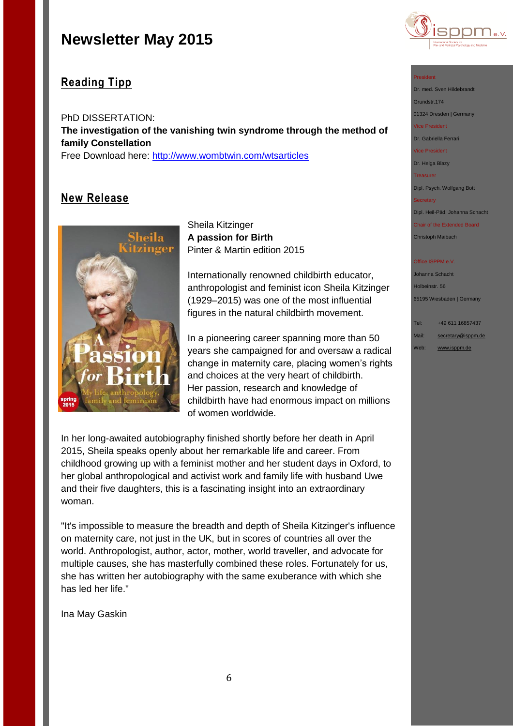

## **Reading Tipp**

PhD DISSERTATION: **The investigation of the vanishing twin syndrome through the method of family Constellation** Free Download here: [http://www.wombtwin.com/wtsarticles](http://www.wombtwin.com/wtsarticles-sas/4580514859?utm_source=Womb+Twin+newsletter&utm_campaign=f7c2af81ac-Newsletter+May+2015+2015&utm_medium=email&utm_term=0_189851c605-f7c2af81ac-421063393)

## **New Release**



Sheila Kitzinger **A passion for Birth** Pinter & Martin edition 2015

Internationally renowned childbirth educator, anthropologist and feminist icon Sheila Kitzinger (1929–2015) was one of the most influential figures in the natural childbirth movement.

In a pioneering career spanning more than 50 years she campaigned for and oversaw a radical change in maternity care, placing women's rights and choices at the very heart of childbirth. Her passion, research and knowledge of childbirth have had enormous impact on millions of women worldwide.

In her long-awaited autobiography finished shortly before her death in April 2015, Sheila speaks openly about her remarkable life and career. From childhood growing up with a feminist mother and her student days in Oxford, to her global anthropological and activist work and family life with husband Uwe and their five daughters, this is a fascinating insight into an extraordinary woman.

"It's impossible to measure the breadth and depth of Sheila Kitzinger's influence on maternity care, not just in the UK, but in scores of countries all over the world. Anthropologist, author, actor, mother, world traveller, and advocate for multiple causes, she has masterfully combined these roles. Fortunately for us, she has written her autobiography with the same exuberance with which she has led her life."

Ina May Gaskin

### President

Dr. med. Sven Hildebrandt Grundstr.174

01324 Dresden | Germany

ice President

Dr. Gabriella Ferrari

Vice President

Dr. Helga Blazy Treasurer

Dipl. Psych. Wolfgang Bott

**Secretary** 

Dipl. Heil-Päd. Johanna Schacht

Chair of the Extended Board Christoph Maibach

**Office ISPPM e.V** 

Johanna Schacht Holbeinstr. 56 65195 Wiesbaden | Germany

Tel: +49 611 16857437 Mail: [secretary@isppm.de](mailto:secretary@isppm.de)

Web: [www.isppm.de](http://www.isppm.de/)